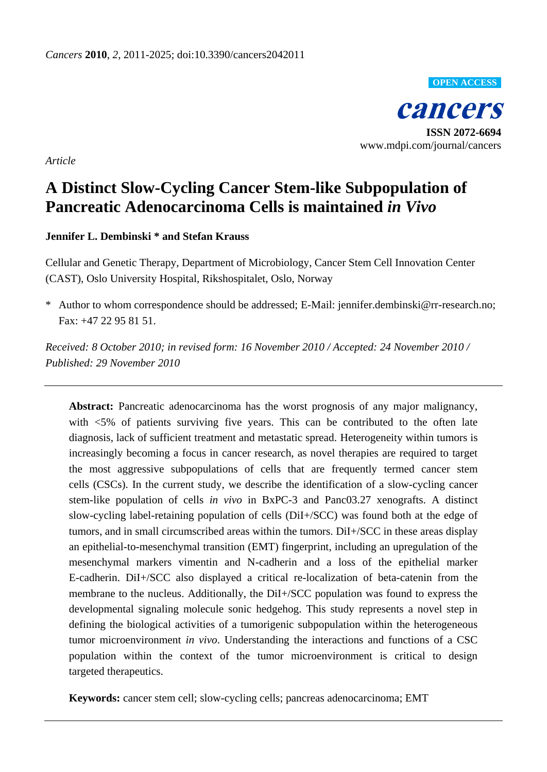

*Article*

# **A Distinct Slow-Cycling Cancer Stem-like Subpopulation of Pancreatic Adenocarcinoma Cells is maintained** *in Vivo*

# **Jennifer L. Dembinski \* and Stefan Krauss**

Cellular and Genetic Therapy, Department of Microbiology, Cancer Stem Cell Innovation Center (CAST), Oslo University Hospital, Rikshospitalet, Oslo, Norway

\* Author to whom correspondence should be addressed; E-Mail: jennifer.dembinski@rr-research.no; Fax: +47 22 95 81 51.

*Received: 8 October 2010; in revised form: 16 November 2010 / Accepted: 24 November 2010 / Published: 29 November 2010*

Abstract: Pancreatic adenocarcinoma has the worst prognosis of any major malignancy, with <5% of patients surviving five years. This can be contributed to the often late diagnosis, lack of sufficient treatment and metastatic spread. Heterogeneity within tumors is increasingly becoming a focus in cancer research, as novel therapies are required to target the most aggressive subpopulations of cells that are frequently termed cancer stem cells (CSCs). In the current study, we describe the identification of a slow-cycling cancer stem-like population of cells *in vivo* in BxPC-3 and Panc03.27 xenografts. A distinct slow-cycling label-retaining population of cells (DiI+/SCC) was found both at the edge of tumors, and in small circumscribed areas within the tumors. DiI+/SCC in these areas display an epithelial-to-mesenchymal transition (EMT) fingerprint, including an upregulation of the mesenchymal markers vimentin and N-cadherin and a loss of the epithelial marker E-cadherin. DiI+/SCC also displayed a critical re-localization of beta-catenin from the membrane to the nucleus. Additionally, the DiI+/SCC population was found to express the developmental signaling molecule sonic hedgehog. This study represents a novel step in defining the biological activities of a tumorigenic subpopulation within the heterogeneous tumor microenvironment *in vivo*. Understanding the interactions and functions of a CSC population within the context of the tumor microenvironment is critical to design targeted therapeutics.

**Keywords:** cancer stem cell; slow-cycling cells; pancreas adenocarcinoma; EMT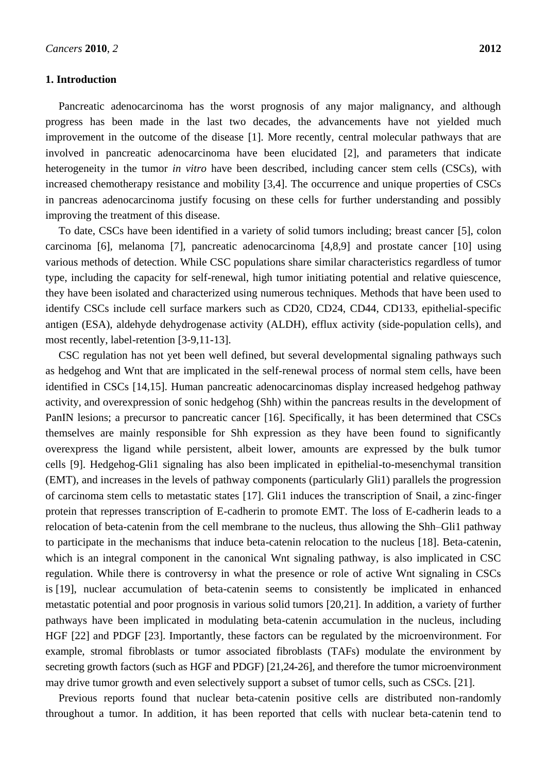## **1. Introduction**

Pancreatic adenocarcinoma has the worst prognosis of any major malignancy, and although progress has been made in the last two decades, the advancements have not yielded much improvement in the outcome of the disease [1]. More recently, central molecular pathways that are involved in pancreatic adenocarcinoma have been elucidated [2], and parameters that indicate heterogeneity in the tumor *in vitro* have been described, including cancer stem cells (CSCs), with increased chemotherapy resistance and mobility [3,4]. The occurrence and unique properties of CSCs in pancreas adenocarcinoma justify focusing on these cells for further understanding and possibly improving the treatment of this disease.

To date, CSCs have been identified in a variety of solid tumors including; breast cancer [5], colon carcinoma [6], melanoma [7], pancreatic adenocarcinoma [4,8,9] and prostate cancer [10] using various methods of detection. While CSC populations share similar characteristics regardless of tumor type, including the capacity for self-renewal, high tumor initiating potential and relative quiescence, they have been isolated and characterized using numerous techniques. Methods that have been used to identify CSCs include cell surface markers such as CD20, CD24, CD44, CD133, epithelial-specific antigen (ESA), aldehyde dehydrogenase activity (ALDH), efflux activity (side-population cells), and most recently, label-retention [3-9,11-13].

CSC regulation has not yet been well defined, but several developmental signaling pathways such as hedgehog and Wnt that are implicated in the self-renewal process of normal stem cells, have been identified in CSCs [14,15]. Human pancreatic adenocarcinomas display increased hedgehog pathway activity, and overexpression of sonic hedgehog (Shh) within the pancreas results in the development of PanIN lesions; a precursor to pancreatic cancer [16]. Specifically, it has been determined that CSCs themselves are mainly responsible for Shh expression as they have been found to significantly overexpress the ligand while persistent, albeit lower, amounts are expressed by the bulk tumor cells [9]. Hedgehog-Gli1 signaling has also been implicated in epithelial-to-mesenchymal transition (EMT), and increases in the levels of pathway components (particularly Gli1) parallels the progression of carcinoma stem cells to metastatic states [17]. Gli1 induces the transcription of Snail, a zinc-finger protein that represses transcription of E-cadherin to promote EMT. The loss of E-cadherin leads to a relocation of beta-catenin from the cell membrane to the nucleus, thus allowing the Shh–Gli1 pathway to participate in the mechanisms that induce beta-catenin relocation to the nucleus [18]. Beta-catenin, which is an integral component in the canonical Wnt signaling pathway, is also implicated in CSC regulation. While there is controversy in what the presence or role of active Wnt signaling in CSCs is [19], nuclear accumulation of beta-catenin seems to consistently be implicated in enhanced metastatic potential and poor prognosis in various solid tumors [20,21]. In addition, a variety of further pathways have been implicated in modulating beta-catenin accumulation in the nucleus, including HGF [22] and PDGF [23]. Importantly, these factors can be regulated by the microenvironment. For example, stromal fibroblasts or tumor associated fibroblasts (TAFs) modulate the environment by secreting growth factors (such as HGF and PDGF) [21,24-26], and therefore the tumor microenvironment may drive tumor growth and even selectively support a subset of tumor cells, such as CSCs. [21].

Previous reports found that nuclear beta-catenin positive cells are distributed non-randomly throughout a tumor. In addition, it has been reported that cells with nuclear beta-catenin tend to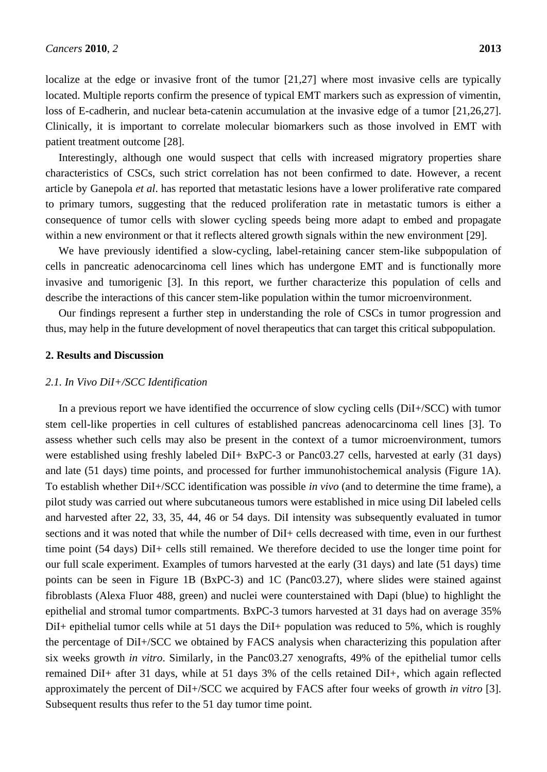localize at the edge or invasive front of the tumor [21,27] where most invasive cells are typically located. Multiple reports confirm the presence of typical EMT markers such as expression of vimentin, loss of E-cadherin, and nuclear beta-catenin accumulation at the invasive edge of a tumor [21,26,27]. Clinically, it is important to correlate molecular biomarkers such as those involved in EMT with patient treatment outcome [28].

Interestingly, although one would suspect that cells with increased migratory properties share characteristics of CSCs, such strict correlation has not been confirmed to date. However, a recent article by Ganepola *et al*. has reported that metastatic lesions have a lower proliferative rate compared to primary tumors, suggesting that the reduced proliferation rate in metastatic tumors is either a consequence of tumor cells with slower cycling speeds being more adapt to embed and propagate within a new environment or that it reflects altered growth signals within the new environment [29].

We have previously identified a slow-cycling, label-retaining cancer stem-like subpopulation of cells in pancreatic adenocarcinoma cell lines which has undergone EMT and is functionally more invasive and tumorigenic [3]. In this report, we further characterize this population of cells and describe the interactions of this cancer stem-like population within the tumor microenvironment.

Our findings represent a further step in understanding the role of CSCs in tumor progression and thus, may help in the future development of novel therapeutics that can target this critical subpopulation.

## **2. Results and Discussion**

#### *2.1. In Vivo DiI+/SCC Identification*

In a previous report we have identified the occurrence of slow cycling cells (DiI+/SCC) with tumor stem cell-like properties in cell cultures of established pancreas adenocarcinoma cell lines [3]. To assess whether such cells may also be present in the context of a tumor microenvironment, tumors were established using freshly labeled DiI+ BxPC-3 or Panc03.27 cells, harvested at early (31 days) and late (51 days) time points, and processed for further immunohistochemical analysis (Figure 1A). To establish whether DiI+/SCC identification was possible *in vivo* (and to determine the time frame), a pilot study was carried out where subcutaneous tumors were established in mice using DiI labeled cells and harvested after 22, 33, 35, 44, 46 or 54 days. DiI intensity was subsequently evaluated in tumor sections and it was noted that while the number of DiI+ cells decreased with time, even in our furthest time point (54 days) DiI+ cells still remained. We therefore decided to use the longer time point for our full scale experiment. Examples of tumors harvested at the early (31 days) and late (51 days) time points can be seen in Figure 1B (BxPC-3) and 1C (Panc03.27), where slides were stained against fibroblasts (Alexa Fluor 488, green) and nuclei were counterstained with Dapi (blue) to highlight the epithelial and stromal tumor compartments. BxPC-3 tumors harvested at 31 days had on average 35% DiI+ epithelial tumor cells while at 51 days the DiI+ population was reduced to 5%, which is roughly the percentage of DiI+/SCC we obtained by FACS analysis when characterizing this population after six weeks growth *in vitro*. Similarly, in the Panc03.27 xenografts, 49% of the epithelial tumor cells remained DiI+ after 31 days, while at 51 days 3% of the cells retained DiI+, which again reflected approximately the percent of DiI+/SCC we acquired by FACS after four weeks of growth *in vitro* [3]. Subsequent results thus refer to the 51 day tumor time point.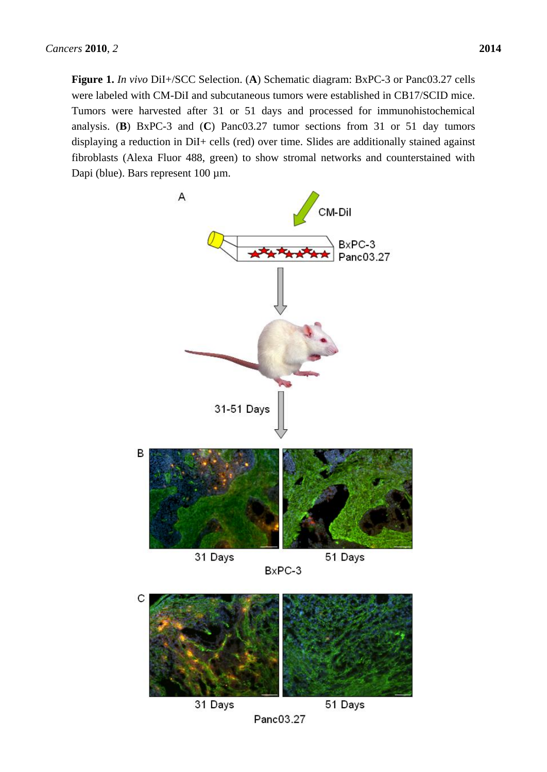**Figure 1.** *In vivo* DiI+/SCC Selection. (**A**) Schematic diagram: BxPC-3 or Panc03.27 cells were labeled with CM-DiI and subcutaneous tumors were established in CB17/SCID mice. Tumors were harvested after 31 or 51 days and processed for immunohistochemical analysis. (**B**) BxPC-3 and (**C**) Panc03.27 tumor sections from 31 or 51 day tumors displaying a reduction in DiI+ cells (red) over time. Slides are additionally stained against fibroblasts (Alexa Fluor 488, green) to show stromal networks and counterstained with Dapi (blue). Bars represent 100 μm.



Panc03.27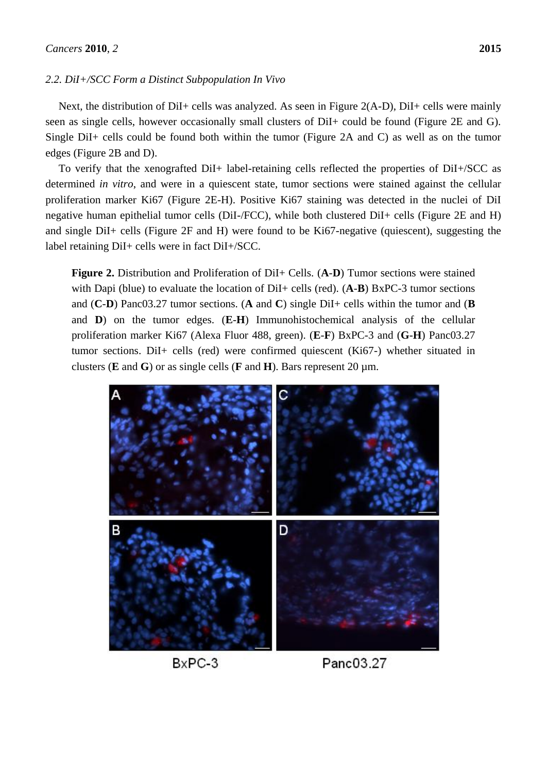# *2.2. DiI+/SCC Form a Distinct Subpopulation In Vivo*

Next, the distribution of DiI+ cells was analyzed. As seen in Figure 2(A-D), DiI+ cells were mainly seen as single cells, however occasionally small clusters of DiI+ could be found (Figure 2E and G). Single DiI+ cells could be found both within the tumor (Figure 2A and C) as well as on the tumor edges (Figure 2B and D).

To verify that the xenografted DiI+ label-retaining cells reflected the properties of DiI+/SCC as determined *in vitro*, and were in a quiescent state, tumor sections were stained against the cellular proliferation marker Ki67 (Figure 2E-H). Positive Ki67 staining was detected in the nuclei of DiI negative human epithelial tumor cells (DiI-/FCC), while both clustered DiI+ cells (Figure 2E and H) and single DiI+ cells (Figure 2F and H) were found to be Ki67-negative (quiescent), suggesting the label retaining DiI+ cells were in fact DiI+/SCC.

**Figure 2.** Distribution and Proliferation of DiI+ Cells. (**A**-**D**) Tumor sections were stained with Dapi (blue) to evaluate the location of DiI+ cells (red). (**A**-**B**) BxPC-3 tumor sections and (**C**-**D**) Panc03.27 tumor sections. (**A** and **C**) single DiI+ cells within the tumor and (**B** and **D**) on the tumor edges. (**E**-**H**) Immunohistochemical analysis of the cellular proliferation marker Ki67 (Alexa Fluor 488, green). (**E**-**F**) BxPC-3 and (**G**-**H**) Panc03.27 tumor sections. DiI+ cells (red) were confirmed quiescent (Ki67-) whether situated in clusters (**E** and **G**) or as single cells (**F** and **H**). Bars represent 20 µm.



BxPC-3

Panc03.27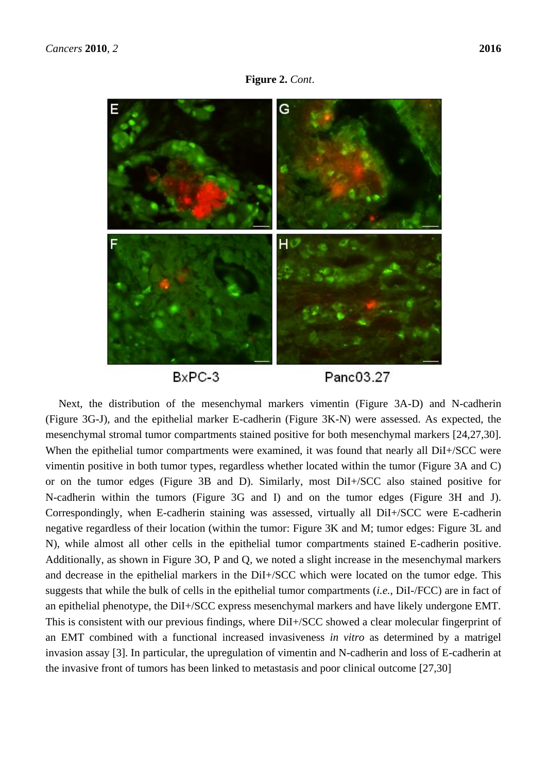**Figure 2.** *Cont*.



 $B \times PC-3$ 

Panc03.27

Next, the distribution of the mesenchymal markers vimentin (Figure 3A-D) and N-cadherin (Figure 3G-J), and the epithelial marker E-cadherin (Figure 3K-N) were assessed. As expected, the mesenchymal stromal tumor compartments stained positive for both mesenchymal markers [24,27,30]. When the epithelial tumor compartments were examined, it was found that nearly all DiI+/SCC were vimentin positive in both tumor types, regardless whether located within the tumor (Figure 3A and C) or on the tumor edges (Figure 3B and D). Similarly, most DiI+/SCC also stained positive for N-cadherin within the tumors (Figure 3G and I) and on the tumor edges (Figure 3H and J). Correspondingly, when E-cadherin staining was assessed, virtually all DiI+/SCC were E-cadherin negative regardless of their location (within the tumor: Figure 3K and M; tumor edges: Figure 3L and N), while almost all other cells in the epithelial tumor compartments stained E-cadherin positive. Additionally, as shown in Figure 3O, P and Q, we noted a slight increase in the mesenchymal markers and decrease in the epithelial markers in the DiI+/SCC which were located on the tumor edge. This suggests that while the bulk of cells in the epithelial tumor compartments (*i.e.*, DiI-/FCC) are in fact of an epithelial phenotype, the DiI+/SCC express mesenchymal markers and have likely undergone EMT. This is consistent with our previous findings, where DiI+/SCC showed a clear molecular fingerprint of an EMT combined with a functional increased invasiveness *in vitro* as determined by a matrigel invasion assay [3]. In particular, the upregulation of vimentin and N-cadherin and loss of E-cadherin at the invasive front of tumors has been linked to metastasis and poor clinical outcome [27,30]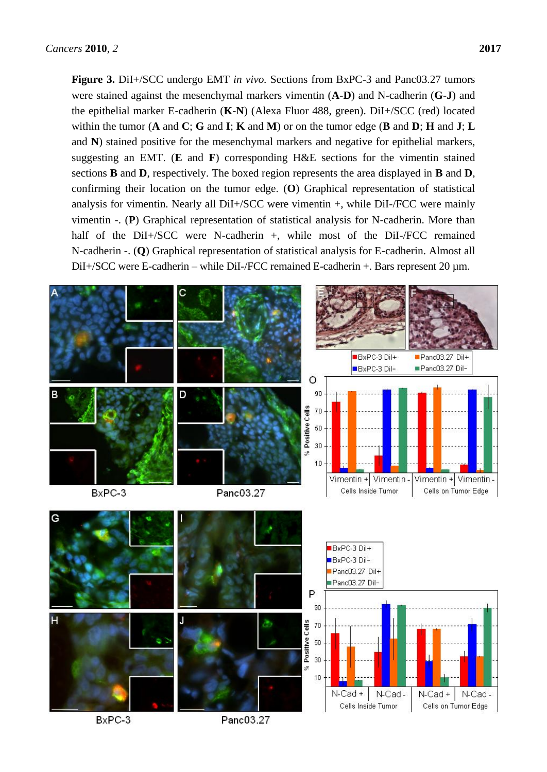**Figure 3.** DiI+/SCC undergo EMT *in vivo.* Sections from BxPC-3 and Panc03.27 tumors were stained against the mesenchymal markers vimentin (**A**-**D**) and N-cadherin (**G**-**J**) and the epithelial marker E-cadherin (**K**-**N**) (Alexa Fluor 488, green). DiI+/SCC (red) located within the tumor (**A** and **C**; **G** and **I**; **K** and **M**) or on the tumor edge (**B** and **D**; **H** and **J**; **L** and **N**) stained positive for the mesenchymal markers and negative for epithelial markers, suggesting an EMT. (**E** and **F**) corresponding H&E sections for the vimentin stained sections **B** and **D**, respectively. The boxed region represents the area displayed in **B** and **D**, confirming their location on the tumor edge. (**O**) Graphical representation of statistical analysis for vimentin. Nearly all DiI+/SCC were vimentin +, while DiI-/FCC were mainly vimentin -. (**P**) Graphical representation of statistical analysis for N-cadherin. More than half of the DiI+/SCC were N-cadherin +, while most of the DiI-/FCC remained N-cadherin -. (**Q**) Graphical representation of statistical analysis for E-cadherin. Almost all DiI+/SCC were E-cadherin – while DiI-/FCC remained E-cadherin +. Bars represent 20  $\mu$ m.



BxPC-3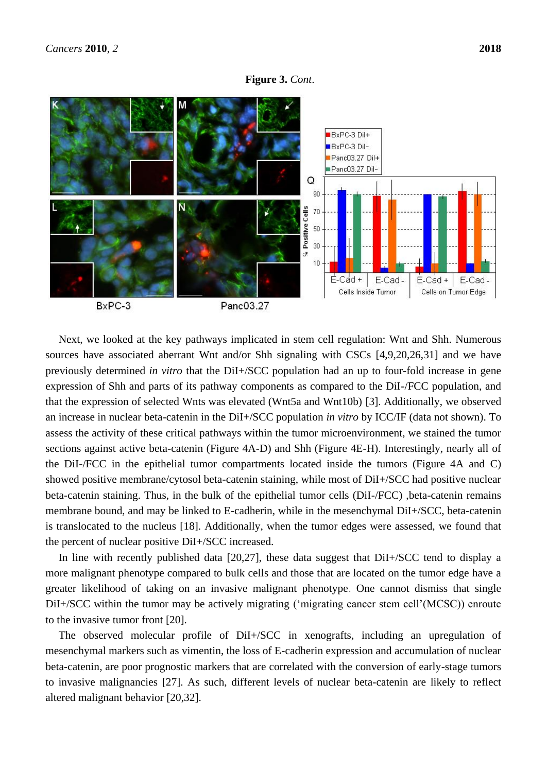



Next, we looked at the key pathways implicated in stem cell regulation: Wnt and Shh. Numerous sources have associated aberrant Wnt and/or Shh signaling with CSCs [4,9,20,26,31] and we have previously determined *in vitro* that the DiI+/SCC population had an up to four-fold increase in gene expression of Shh and parts of its pathway components as compared to the DiI-/FCC population, and that the expression of selected Wnts was elevated (Wnt5a and Wnt10b) [3]. Additionally, we observed an increase in nuclear beta-catenin in the DiI+/SCC population *in vitro* by ICC/IF (data not shown). To assess the activity of these critical pathways within the tumor microenvironment, we stained the tumor sections against active beta-catenin (Figure 4A-D) and Shh (Figure 4E-H). Interestingly, nearly all of the DiI-/FCC in the epithelial tumor compartments located inside the tumors (Figure 4A and C) showed positive membrane/cytosol beta-catenin staining, while most of DiI+/SCC had positive nuclear beta-catenin staining. Thus, in the bulk of the epithelial tumor cells (DiI-/FCC) ,beta-catenin remains membrane bound, and may be linked to E-cadherin, while in the mesenchymal DiI+/SCC, beta-catenin is translocated to the nucleus [18]. Additionally, when the tumor edges were assessed, we found that the percent of nuclear positive DiI+/SCC increased.

In line with recently published data [20,27], these data suggest that DiI+/SCC tend to display a more malignant phenotype compared to bulk cells and those that are located on the tumor edge have a greater likelihood of taking on an invasive malignant phenotype. One cannot dismiss that single DiI+/SCC within the tumor may be actively migrating ('migrating cancer stem cell'(MCSC)) enroute to the invasive tumor front [20].

The observed molecular profile of DiI+/SCC in xenografts, including an upregulation of mesenchymal markers such as vimentin, the loss of E-cadherin expression and accumulation of nuclear beta-catenin, are poor prognostic markers that are correlated with the conversion of early-stage tumors to invasive malignancies [27]. As such, different levels of nuclear beta-catenin are likely to reflect altered malignant behavior [20,32].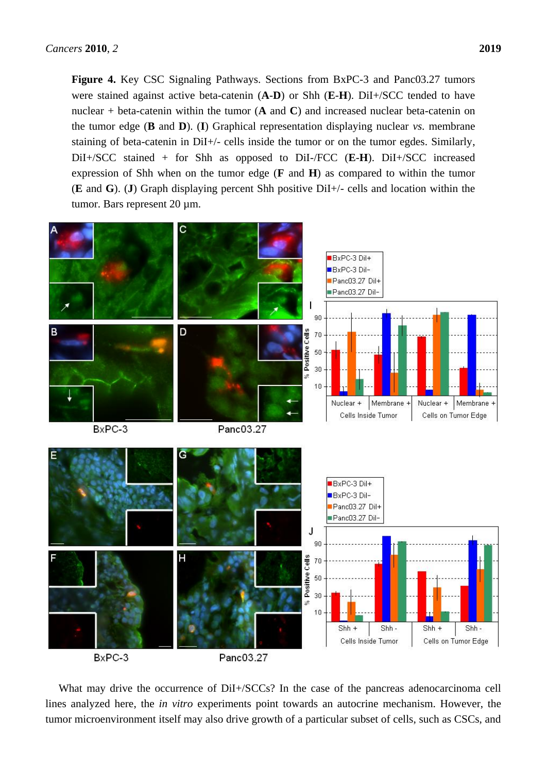**Figure 4.** Key CSC Signaling Pathways. Sections from BxPC-3 and Panc03.27 tumors were stained against active beta-catenin (**A**-**D**) or Shh (**E**-**H**). DiI+/SCC tended to have nuclear + beta-catenin within the tumor (**A** and **C**) and increased nuclear beta-catenin on the tumor edge (**B** and **D**). (**I**) Graphical representation displaying nuclear *vs.* membrane staining of beta-catenin in DiI+/- cells inside the tumor or on the tumor egdes. Similarly, DiI+/SCC stained + for Shh as opposed to DiI-/FCC (**E**-**H**). DiI+/SCC increased expression of Shh when on the tumor edge (**F** and **H**) as compared to within the tumor (**E** and **G**). (**J**) Graph displaying percent Shh positive DiI+/- cells and location within the tumor. Bars represent 20 µm.



What may drive the occurrence of DiI+/SCCs? In the case of the pancreas adenocarcinoma cell lines analyzed here, the *in vitro* experiments point towards an autocrine mechanism. However, the tumor microenvironment itself may also drive growth of a particular subset of cells, such as CSCs, and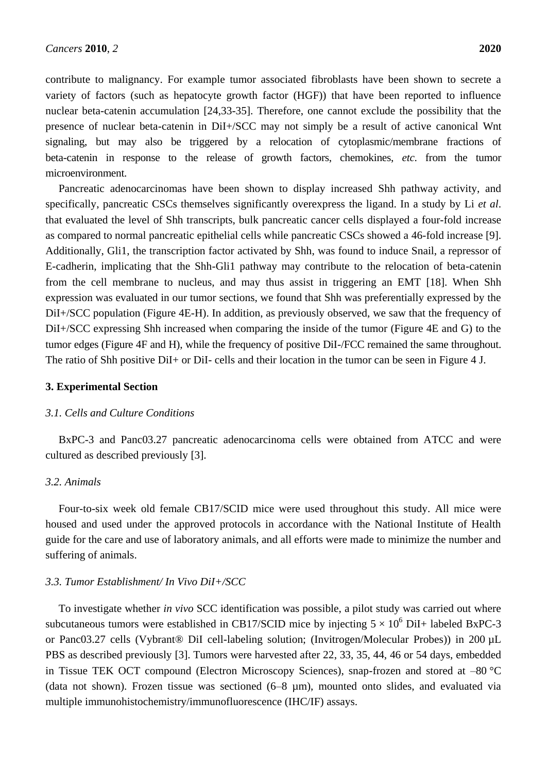contribute to malignancy. For example tumor associated fibroblasts have been shown to secrete a variety of factors (such as hepatocyte growth factor (HGF)) that have been reported to influence nuclear beta-catenin accumulation [24,33-35]. Therefore, one cannot exclude the possibility that the presence of nuclear beta-catenin in DiI+/SCC may not simply be a result of active canonical Wnt signaling, but may also be triggered by a relocation of cytoplasmic/membrane fractions of beta-catenin in response to the release of growth factors, chemokines, *etc*. from the tumor microenvironment.

Pancreatic adenocarcinomas have been shown to display increased Shh pathway activity, and specifically, pancreatic CSCs themselves significantly overexpress the ligand. In a study by Li *et al*. that evaluated the level of Shh transcripts, bulk pancreatic cancer cells displayed a four-fold increase as compared to normal pancreatic epithelial cells while pancreatic CSCs showed a 46-fold increase [9]. Additionally, Gli1, the transcription factor activated by Shh, was found to induce Snail, a repressor of E-cadherin, implicating that the Shh-Gli1 pathway may contribute to the relocation of beta-catenin from the cell membrane to nucleus, and may thus assist in triggering an EMT [18]. When Shh expression was evaluated in our tumor sections, we found that Shh was preferentially expressed by the DiI+/SCC population (Figure 4E-H). In addition, as previously observed, we saw that the frequency of DiI+/SCC expressing Shh increased when comparing the inside of the tumor (Figure 4E and G) to the tumor edges (Figure 4F and H), while the frequency of positive DiI-/FCC remained the same throughout. The ratio of Shh positive DiI+ or DiI- cells and their location in the tumor can be seen in Figure 4 J.

## **3. Experimental Section**

## *3.1. Cells and Culture Conditions*

BxPC-3 and Panc03.27 pancreatic adenocarcinoma cells were obtained from ATCC and were cultured as described previously [3].

### *3.2. Animals*

Four-to-six week old female CB17/SCID mice were used throughout this study. All mice were housed and used under the approved protocols in accordance with the National Institute of Health guide for the care and use of laboratory animals, and all efforts were made to minimize the number and suffering of animals.

#### *3.3. Tumor Establishment/ In Vivo DiI+/SCC*

To investigate whether *in vivo* SCC identification was possible, a pilot study was carried out where subcutaneous tumors were established in CB17/SCID mice by injecting  $5 \times 10^6$  DiI+ labeled BxPC-3 or Panc03.27 cells (Vybrant® DiI cell-labeling solution; (Invitrogen/Molecular Probes)) in 200 µL PBS as described previously [3]. Tumors were harvested after 22, 33, 35, 44, 46 or 54 days, embedded in Tissue TEK OCT compound (Electron Microscopy Sciences), snap-frozen and stored at  $-80$  °C (data not shown). Frozen tissue was sectioned (6–8 µm), mounted onto slides, and evaluated via multiple immunohistochemistry/immunofluorescence (IHC/IF) assays.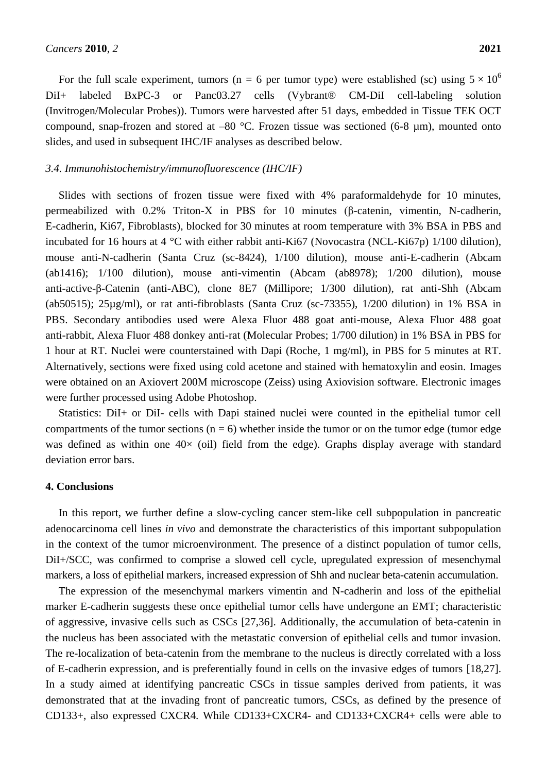For the full scale experiment, tumors (n = 6 per tumor type) were established (sc) using  $5 \times 10^6$ DiI+ labeled BxPC-3 or Panc03.27 cells (Vybrant® CM-DiI cell-labeling solution (Invitrogen/Molecular Probes)). Tumors were harvested after 51 days, embedded in Tissue TEK OCT compound, snap-frozen and stored at  $-80$  °C. Frozen tissue was sectioned (6-8  $\mu$ m), mounted onto slides, and used in subsequent IHC/IF analyses as described below.

#### *3.4. Immunohistochemistry/immunofluorescence (IHC/IF)*

Slides with sections of frozen tissue were fixed with 4% paraformaldehyde for 10 minutes, permeabilized with 0.2% Triton-X in PBS for 10 minutes (β-catenin, vimentin, N-cadherin, E-cadherin, Ki67, Fibroblasts), blocked for 30 minutes at room temperature with 3% BSA in PBS and incubated for 16 hours at 4 °C with either rabbit anti-Ki67 (Novocastra (NCL-Ki67p) 1/100 dilution), mouse anti-N-cadherin (Santa Cruz (sc-8424), 1/100 dilution), mouse anti-E-cadherin (Abcam (ab1416); 1/100 dilution), mouse anti-vimentin (Abcam (ab8978); 1/200 dilution), mouse anti-active-β-Catenin (anti-ABC), clone 8E7 (Millipore; 1/300 dilution), rat anti-Shh (Abcam (ab50515); 25µg/ml), or rat anti-fibroblasts (Santa Cruz (sc-73355), 1/200 dilution) in 1% BSA in PBS. Secondary antibodies used were Alexa Fluor 488 goat anti-mouse, Alexa Fluor 488 goat anti-rabbit, Alexa Fluor 488 donkey anti-rat (Molecular Probes; 1/700 dilution) in 1% BSA in PBS for 1 hour at RT. Nuclei were counterstained with Dapi (Roche, 1 mg/ml), in PBS for 5 minutes at RT. Alternatively, sections were fixed using cold acetone and stained with hematoxylin and eosin. Images were obtained on an Axiovert 200M microscope (Zeiss) using Axiovision software. Electronic images were further processed using Adobe Photoshop.

Statistics: DiI+ or DiI- cells with Dapi stained nuclei were counted in the epithelial tumor cell compartments of the tumor sections  $(n = 6)$  whether inside the tumor or on the tumor edge (tumor edge) was defined as within one  $40 \times$  (oil) field from the edge). Graphs display average with standard deviation error bars.

#### **4. Conclusions**

In this report, we further define a slow-cycling cancer stem-like cell subpopulation in pancreatic adenocarcinoma cell lines *in vivo* and demonstrate the characteristics of this important subpopulation in the context of the tumor microenvironment. The presence of a distinct population of tumor cells, DiI+/SCC, was confirmed to comprise a slowed cell cycle, upregulated expression of mesenchymal markers, a loss of epithelial markers, increased expression of Shh and nuclear beta-catenin accumulation.

The expression of the mesenchymal markers vimentin and N-cadherin and loss of the epithelial marker E-cadherin suggests these once epithelial tumor cells have undergone an EMT; characteristic of aggressive, invasive cells such as CSCs [27,36]. Additionally, the accumulation of beta-catenin in the nucleus has been associated with the metastatic conversion of epithelial cells and tumor invasion. The re-localization of beta-catenin from the membrane to the nucleus is directly correlated with a loss of E-cadherin expression, and is preferentially found in cells on the invasive edges of tumors [18,27]. In a study aimed at identifying pancreatic CSCs in tissue samples derived from patients, it was demonstrated that at the invading front of pancreatic tumors, CSCs, as defined by the presence of CD133+, also expressed CXCR4. While CD133+CXCR4- and CD133+CXCR4+ cells were able to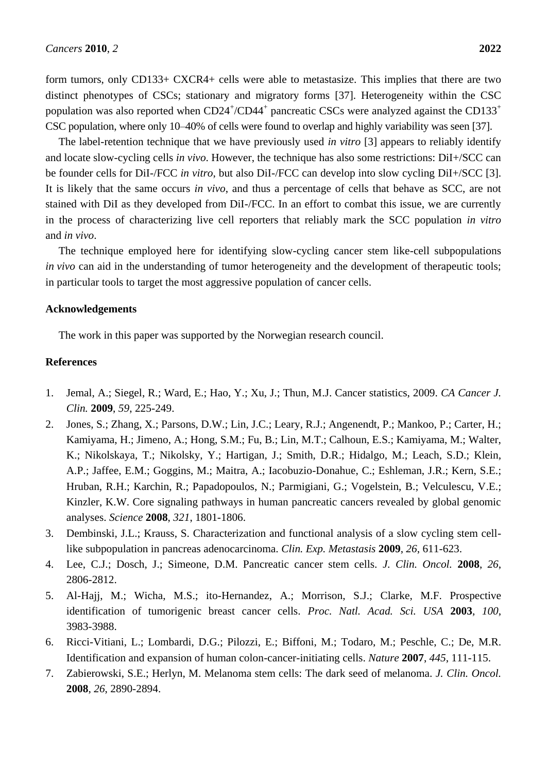form tumors, only CD133+ CXCR4+ cells were able to metastasize. This implies that there are two distinct phenotypes of CSCs; stationary and migratory forms [37]. Heterogeneity within the CSC population was also reported when  $CD24^{\dagger}/CD44^{\dagger}$  pancreatic CSCs were analyzed against the CD133<sup>+</sup> CSC population, where only 10–40% of cells were found to overlap and highly variability was seen [37].

The label-retention technique that we have previously used *in vitro* [3] appears to reliably identify and locate slow-cycling cells *in vivo*. However, the technique has also some restrictions: DiI+/SCC can be founder cells for DiI-/FCC *in vitro*, but also DiI-/FCC can develop into slow cycling DiI+/SCC [3]. It is likely that the same occurs *in vivo*, and thus a percentage of cells that behave as SCC, are not stained with DiI as they developed from DiI-/FCC. In an effort to combat this issue, we are currently in the process of characterizing live cell reporters that reliably mark the SCC population *in vitro* and *in vivo*.

The technique employed here for identifying slow-cycling cancer stem like-cell subpopulations *in vivo* can aid in the understanding of tumor heterogeneity and the development of therapeutic tools; in particular tools to target the most aggressive population of cancer cells.

# **Acknowledgements**

The work in this paper was supported by the Norwegian research council.

# **References**

- 1. Jemal, A.; Siegel, R.; Ward, E.; Hao, Y.; Xu, J.; Thun, M.J. Cancer statistics, 2009. *CA Cancer J. Clin.* **2009**, *59*, 225-249.
- 2. Jones, S.; Zhang, X.; Parsons, D.W.; Lin, J.C.; Leary, R.J.; Angenendt, P.; Mankoo, P.; Carter, H.; Kamiyama, H.; Jimeno, A.; Hong, S.M.; Fu, B.; Lin, M.T.; Calhoun, E.S.; Kamiyama, M.; Walter, K.; Nikolskaya, T.; Nikolsky, Y.; Hartigan, J.; Smith, D.R.; Hidalgo, M.; Leach, S.D.; Klein, A.P.; Jaffee, E.M.; Goggins, M.; Maitra, A.; Iacobuzio-Donahue, C.; Eshleman, J.R.; Kern, S.E.; Hruban, R.H.; Karchin, R.; Papadopoulos, N.; Parmigiani, G.; Vogelstein, B.; Velculescu, V.E.; Kinzler, K.W. Core signaling pathways in human pancreatic cancers revealed by global genomic analyses. *Science* **2008**, *321*, 1801-1806.
- 3. Dembinski, J.L.; Krauss, S. Characterization and functional analysis of a slow cycling stem celllike subpopulation in pancreas adenocarcinoma. *Clin. Exp. Metastasis* **2009**, *26*, 611-623.
- 4. Lee, C.J.; Dosch, J.; Simeone, D.M. Pancreatic cancer stem cells. *J. Clin. Oncol.* **2008**, *26*, 2806-2812.
- 5. Al-Hajj, M.; Wicha, M.S.; ito-Hernandez, A.; Morrison, S.J.; Clarke, M.F. Prospective identification of tumorigenic breast cancer cells. *Proc. Natl. Acad. Sci. USA* **2003**, *100*, 3983-3988.
- 6. Ricci-Vitiani, L.; Lombardi, D.G.; Pilozzi, E.; Biffoni, M.; Todaro, M.; Peschle, C.; De, M.R. Identification and expansion of human colon-cancer-initiating cells. *Nature* **2007**, *445*, 111-115.
- 7. Zabierowski, S.E.; Herlyn, M. Melanoma stem cells: The dark seed of melanoma. *J. Clin. Oncol.* **2008**, *26*, 2890-2894.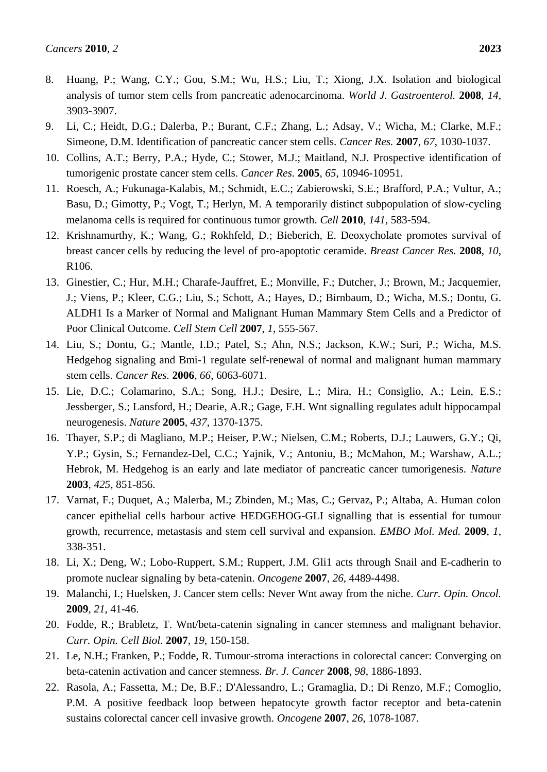- 8. Huang, P.; Wang, C.Y.; Gou, S.M.; Wu, H.S.; Liu, T.; Xiong, J.X. Isolation and biological analysis of tumor stem cells from pancreatic adenocarcinoma. *World J. Gastroenterol.* **2008**, *14*, 3903-3907.
- 9. Li, C.; Heidt, D.G.; Dalerba, P.; Burant, C.F.; Zhang, L.; Adsay, V.; Wicha, M.; Clarke, M.F.; Simeone, D.M. Identification of pancreatic cancer stem cells. *Cancer Res.* **2007**, *67*, 1030-1037.
- 10. Collins, A.T.; Berry, P.A.; Hyde, C.; Stower, M.J.; Maitland, N.J. Prospective identification of tumorigenic prostate cancer stem cells. *Cancer Res.* **2005**, *65*, 10946-10951.
- 11. Roesch, A.; Fukunaga-Kalabis, M.; Schmidt, E.C.; Zabierowski, S.E.; Brafford, P.A.; Vultur, A.; Basu, D.; Gimotty, P.; Vogt, T.; Herlyn, M. A temporarily distinct subpopulation of slow-cycling melanoma cells is required for continuous tumor growth. *Cell* **2010**, *141*, 583-594.
- 12. Krishnamurthy, K.; Wang, G.; Rokhfeld, D.; Bieberich, E. Deoxycholate promotes survival of breast cancer cells by reducing the level of pro-apoptotic ceramide. *Breast Cancer Res.* **2008**, *10*, R106.
- 13. Ginestier, C.; Hur, M.H.; Charafe-Jauffret, E.; Monville, F.; Dutcher, J.; Brown, M.; Jacquemier, J.; Viens, P.; Kleer, C.G.; Liu, S.; Schott, A.; Hayes, D.; Birnbaum, D.; Wicha, M.S.; Dontu, G. ALDH1 Is a Marker of Normal and Malignant Human Mammary Stem Cells and a Predictor of Poor Clinical Outcome. *Cell Stem Cell* **2007**, *1*, 555-567.
- 14. Liu, S.; Dontu, G.; Mantle, I.D.; Patel, S.; Ahn, N.S.; Jackson, K.W.; Suri, P.; Wicha, M.S. Hedgehog signaling and Bmi-1 regulate self-renewal of normal and malignant human mammary stem cells. *Cancer Res.* **2006**, *66*, 6063-6071.
- 15. Lie, D.C.; Colamarino, S.A.; Song, H.J.; Desire, L.; Mira, H.; Consiglio, A.; Lein, E.S.; Jessberger, S.; Lansford, H.; Dearie, A.R.; Gage, F.H. Wnt signalling regulates adult hippocampal neurogenesis. *Nature* **2005**, *437*, 1370-1375.
- 16. Thayer, S.P.; di Magliano, M.P.; Heiser, P.W.; Nielsen, C.M.; Roberts, D.J.; Lauwers, G.Y.; Qi, Y.P.; Gysin, S.; Fernandez-Del, C.C.; Yajnik, V.; Antoniu, B.; McMahon, M.; Warshaw, A.L.; Hebrok, M. Hedgehog is an early and late mediator of pancreatic cancer tumorigenesis. *Nature* **2003**, *425*, 851-856.
- 17. Varnat, F.; Duquet, A.; Malerba, M.; Zbinden, M.; Mas, C.; Gervaz, P.; Altaba, A. Human colon cancer epithelial cells harbour active HEDGEHOG-GLI signalling that is essential for tumour growth, recurrence, metastasis and stem cell survival and expansion. *EMBO Mol. Med.* **2009**, *1*, 338-351.
- 18. Li, X.; Deng, W.; Lobo-Ruppert, S.M.; Ruppert, J.M. Gli1 acts through Snail and E-cadherin to promote nuclear signaling by beta-catenin. *Oncogene* **2007**, *26*, 4489-4498.
- 19. Malanchi, I.; Huelsken, J. Cancer stem cells: Never Wnt away from the niche. *Curr. Opin. Oncol.* **2009**, *21*, 41-46.
- 20. Fodde, R.; Brabletz, T. Wnt/beta-catenin signaling in cancer stemness and malignant behavior. *Curr. Opin. Cell Biol.* **2007**, *19*, 150-158.
- 21. Le, N.H.; Franken, P.; Fodde, R. Tumour-stroma interactions in colorectal cancer: Converging on beta-catenin activation and cancer stemness. *Br. J. Cancer* **2008**, *98*, 1886-1893.
- 22. Rasola, A.; Fassetta, M.; De, B.F.; D'Alessandro, L.; Gramaglia, D.; Di Renzo, M.F.; Comoglio, P.M. A positive feedback loop between hepatocyte growth factor receptor and beta-catenin sustains colorectal cancer cell invasive growth. *Oncogene* **2007**, *26*, 1078-1087.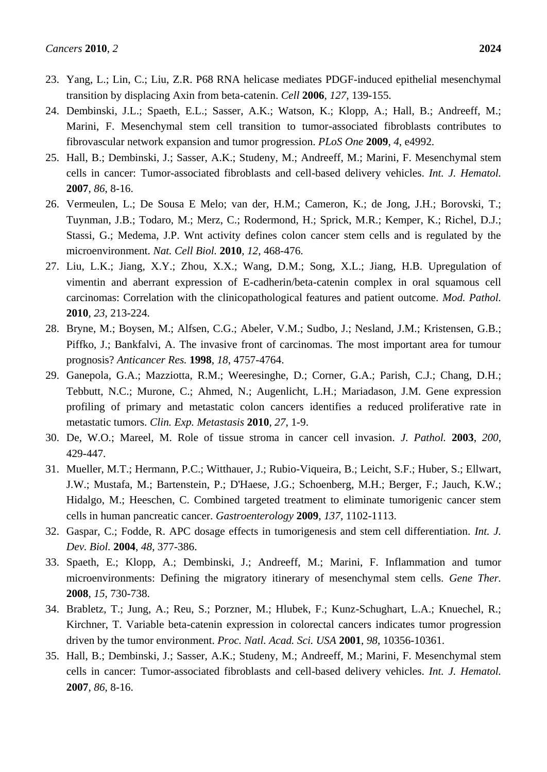- 23. Yang, L.; Lin, C.; Liu, Z.R. P68 RNA helicase mediates PDGF-induced epithelial mesenchymal transition by displacing Axin from beta-catenin. *Cell* **2006**, *127*, 139-155.
- 24. Dembinski, J.L.; Spaeth, E.L.; Sasser, A.K.; Watson, K.; Klopp, A.; Hall, B.; Andreeff, M.; Marini, F. Mesenchymal stem cell transition to tumor-associated fibroblasts contributes to fibrovascular network expansion and tumor progression. *PLoS One* **2009**, *4*, e4992.
- 25. Hall, B.; Dembinski, J.; Sasser, A.K.; Studeny, M.; Andreeff, M.; Marini, F. Mesenchymal stem cells in cancer: Tumor-associated fibroblasts and cell-based delivery vehicles. *Int. J. Hematol.* **2007**, *86*, 8-16.
- 26. Vermeulen, L.; De Sousa E Melo; van der, H.M.; Cameron, K.; de Jong, J.H.; Borovski, T.; Tuynman, J.B.; Todaro, M.; Merz, C.; Rodermond, H.; Sprick, M.R.; Kemper, K.; Richel, D.J.; Stassi, G.; Medema, J.P. Wnt activity defines colon cancer stem cells and is regulated by the microenvironment. *Nat. Cell Biol.* **2010**, *12*, 468-476.
- 27. Liu, L.K.; Jiang, X.Y.; Zhou, X.X.; Wang, D.M.; Song, X.L.; Jiang, H.B. Upregulation of vimentin and aberrant expression of E-cadherin/beta-catenin complex in oral squamous cell carcinomas: Correlation with the clinicopathological features and patient outcome. *Mod. Pathol.* **2010**, *23*, 213-224.
- 28. Bryne, M.; Boysen, M.; Alfsen, C.G.; Abeler, V.M.; Sudbo, J.; Nesland, J.M.; Kristensen, G.B.; Piffko, J.; Bankfalvi, A. The invasive front of carcinomas. The most important area for tumour prognosis? *Anticancer Res.* **1998**, *18*, 4757-4764.
- 29. Ganepola, G.A.; Mazziotta, R.M.; Weeresinghe, D.; Corner, G.A.; Parish, C.J.; Chang, D.H.; Tebbutt, N.C.; Murone, C.; Ahmed, N.; Augenlicht, L.H.; Mariadason, J.M. Gene expression profiling of primary and metastatic colon cancers identifies a reduced proliferative rate in metastatic tumors. *Clin. Exp. Metastasis* **2010**, *27*, 1-9.
- 30. De, W.O.; Mareel, M. Role of tissue stroma in cancer cell invasion. *J. Pathol.* **2003**, *200*, 429-447.
- 31. Mueller, M.T.; Hermann, P.C.; Witthauer, J.; Rubio-Viqueira, B.; Leicht, S.F.; Huber, S.; Ellwart, J.W.; Mustafa, M.; Bartenstein, P.; D'Haese, J.G.; Schoenberg, M.H.; Berger, F.; Jauch, K.W.; Hidalgo, M.; Heeschen, C. Combined targeted treatment to eliminate tumorigenic cancer stem cells in human pancreatic cancer. *Gastroenterology* **2009**, *137*, 1102-1113.
- 32. Gaspar, C.; Fodde, R. APC dosage effects in tumorigenesis and stem cell differentiation. *Int. J. Dev. Biol.* **2004**, *48*, 377-386.
- 33. Spaeth, E.; Klopp, A.; Dembinski, J.; Andreeff, M.; Marini, F. Inflammation and tumor microenvironments: Defining the migratory itinerary of mesenchymal stem cells. *Gene Ther.* **2008**, *15*, 730-738.
- 34. Brabletz, T.; Jung, A.; Reu, S.; Porzner, M.; Hlubek, F.; Kunz-Schughart, L.A.; Knuechel, R.; Kirchner, T. Variable beta-catenin expression in colorectal cancers indicates tumor progression driven by the tumor environment. *Proc. Natl. Acad. Sci. USA* **2001**, *98*, 10356-10361.
- 35. Hall, B.; Dembinski, J.; Sasser, A.K.; Studeny, M.; Andreeff, M.; Marini, F. Mesenchymal stem cells in cancer: Tumor-associated fibroblasts and cell-based delivery vehicles. *Int. J. Hematol.* **2007**, *86*, 8-16.